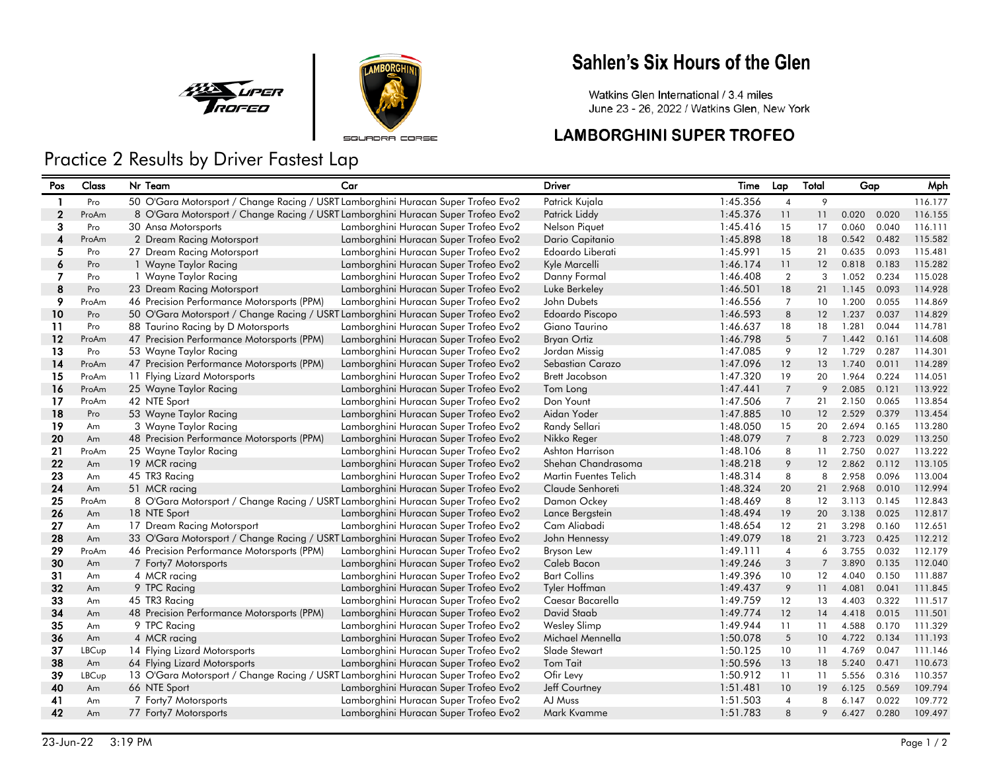



SOURDRA CORSE

## Sahlen's Six Hours of the Glen

Watkins Glen International / 3.4 miles June 23 - 26, 2022 / Watkins Glen, New York

### **LAMBORGHINI SUPER TROFEO**

# Practice 2 Results by Driver Fastest Lap

| Pos          | Class | Nr Team                                                                           | Car                                   | <b>Driver</b>                | Time     | Lap             | Total           | Gap   |       | Mph     |
|--------------|-------|-----------------------------------------------------------------------------------|---------------------------------------|------------------------------|----------|-----------------|-----------------|-------|-------|---------|
| 1            | Pro   | 50 O'Gara Motorsport / Change Racing / USRT Lamborghini Huracan Super Trofeo Evo2 |                                       | Patrick Kujala               | 1:45.356 | $\overline{4}$  | 9               |       |       | 116.177 |
| $\mathbf{2}$ | ProAm | 8 O'Gara Motorsport / Change Racing / USRT Lamborghini Huracan Super Trofeo Evo2  |                                       | Patrick Liddy                | 1:45.376 | 11              | 11              | 0.020 | 0.020 | 116.155 |
| 3            | Pro   | 30 Ansa Motorsports                                                               | Lamborghini Huracan Super Trofeo Evo2 | <b>Nelson Piauet</b>         | 1:45.416 | 15              | 17              | 0.060 | 0.040 | 116.111 |
| 4            | ProAm | 2 Dream Racing Motorsport                                                         | Lamborghini Huracan Super Trofeo Evo2 | Dario Capitanio              | 1:45.898 | 18              | 18              | 0.542 | 0.482 | 115.582 |
| 5.           | Pro   | 27 Dream Racing Motorsport                                                        | Lamborghini Huracan Super Trofeo Evo2 | Edoardo Liberati             | 1:45.991 | 15              | 21              | 0.635 | 0.093 | 115.481 |
| 6            | Pro   | 1 Wayne Taylor Racing                                                             | Lamborghini Huracan Super Trofeo Evo2 | Kyle Marcelli                | 1:46.174 | 11              | 12              | 0.818 | 0.183 | 115.282 |
| 7            | Pro   | 1 Wayne Taylor Racing                                                             | Lamborghini Huracan Super Trofeo Evo2 | Danny Formal                 | 1:46.408 | $\overline{2}$  | 3               | 1.052 | 0.234 | 115.028 |
| 8            | Pro   | 23 Dream Racing Motorsport                                                        | Lamborghini Huracan Super Trofeo Evo2 | Luke Berkeley                | 1:46.501 | 18              | 21              | 1.145 | 0.093 | 114.928 |
| 9            | ProAm | 46 Precision Performance Motorsports (PPM)                                        | Lamborghini Huracan Super Trofeo Evo2 | John Dubets                  | 1:46.556 | $\overline{7}$  | 10 <sup>°</sup> | 1.200 | 0.055 | 114.869 |
| 10           | Pro   | 50 O'Gara Motorsport / Change Racing / USRT Lamborghini Huracan Super Trofeo Evo2 |                                       | Edoardo Piscopo              | 1:46.593 | 8               | 12              | 1.237 | 0.037 | 114.829 |
| 11           | Pro   | 88 Taurino Racing by D Motorsports                                                | Lamborghini Huracan Super Trofeo Evo2 | Giano Taurino                | 1:46.637 | 18              | 18              | 1.281 | 0.044 | 114.781 |
| 12           | ProAm | 47 Precision Performance Motorsports (PPM)                                        | Lamborghini Huracan Super Trofeo Evo2 | <b>Bryan Ortiz</b>           | 1:46.798 | 5               | $\overline{7}$  | 1.442 | 0.161 | 114.608 |
| 13           | Pro   | 53 Wayne Taylor Racing                                                            | Lamborghini Huracan Super Trofeo Evo2 | Jordan Missig                | 1:47.085 | 9               | 12              | 1.729 | 0.287 | 114.301 |
| 14           | ProAm | 47 Precision Performance Motorsports (PPM)                                        | Lamborghini Huracan Super Trofeo Evo2 | Sebastian Carazo             | 1:47.096 | 12              | 13              | 1.740 | 0.011 | 114.289 |
| 15           | ProAm | 11 Flying Lizard Motorsports                                                      | Lamborghini Huracan Super Trofeo Evo2 | Brett Jacobson               | 1:47.320 | 19              | 20              | 1.964 | 0.224 | 114.051 |
| 16           | ProAm | 25 Wayne Taylor Racing                                                            | Lamborghini Huracan Super Trofeo Evo2 | Tom Long                     | 1:47.441 | $\overline{7}$  | 9               | 2.085 | 0.121 | 113.922 |
| 17           | ProAm | 42 NTE Sport                                                                      | Lamborghini Huracan Super Trofeo Evo2 | Don Yount                    | 1:47.506 | $\overline{7}$  | 21              | 2.150 | 0.065 | 113.854 |
| 18           | Pro   | 53 Wayne Taylor Racing                                                            | Lamborghini Huracan Super Trofeo Evo2 | Aidan Yoder                  | 1:47.885 | 10              | 12              | 2.529 | 0.379 | 113.454 |
| 19           | Am    | 3 Wayne Taylor Racing                                                             | Lamborghini Huracan Super Trofeo Evo2 | Randy Sellari                | 1:48.050 | 15              | 20              | 2.694 | 0.165 | 113.280 |
| 20           | Am    | 48 Precision Performance Motorsports (PPM)                                        | Lamborghini Huracan Super Trofeo Evo2 | Nikko Reger                  | 1:48.079 | $\overline{7}$  | 8               | 2.723 | 0.029 | 113.250 |
| 21           | ProAm | 25 Wayne Taylor Racing                                                            | Lamborghini Huracan Super Trofeo Evo2 | Ashton Harrison              | 1:48.106 | 8               | 11              | 2.750 | 0.027 | 113.222 |
| 22           | Am    | 19 MCR racing                                                                     | Lamborghini Huracan Super Trofeo Evo2 | Shehan Chandrasoma           | 1:48.218 | 9               | 12              | 2.862 | 0.112 | 113.105 |
| 23           | Am    | 45 TR3 Racing                                                                     | Lamborghini Huracan Super Trofeo Evo2 | <b>Martin Fuentes Telich</b> | 1:48.314 | 8               | 8               | 2.958 | 0.096 | 113.004 |
| 24           | Am    | 51 MCR racing                                                                     | Lamborghini Huracan Super Trofeo Evo2 | Claude Senhoreti             | 1:48.324 | 20              | 21              | 2.968 | 0.010 | 112.994 |
| 25           | ProAm | 8 O'Gara Motorsport / Change Racing / USRT Lamborghini Huracan Super Trofeo Evo2  |                                       | Damon Ockey                  | 1:48.469 | 8               | 12              | 3.113 | 0.145 | 112.843 |
| 26           | Am    | 18 NTE Sport                                                                      | Lamborghini Huracan Super Trofeo Evo2 | Lance Bergstein              | 1:48.494 | 19              | 20              | 3.138 | 0.025 | 112.817 |
| 27           | Am    | 17 Dream Racing Motorsport                                                        | Lamborghini Huracan Super Trofeo Evo2 | Cam Aliabadi                 | 1:48.654 | 12              | 21              | 3.298 | 0.160 | 112.651 |
| 28           | Am    | 33 O'Gara Motorsport / Change Racing / USRT Lamborghini Huracan Super Trofeo Evo2 |                                       | John Hennessy                | 1:49.079 | 18              | 21              | 3.723 | 0.425 | 112.212 |
| 29           | ProAm | 46 Precision Performance Motorsports (PPM)                                        | Lamborghini Huracan Super Trofeo Evo2 | <b>Bryson Lew</b>            | 1:49.111 | $\overline{4}$  | 6               | 3.755 | 0.032 | 112.179 |
| 30           | Am    | 7 Forty7 Motorsports                                                              | Lamborghini Huracan Super Trofeo Evo2 | Caleb Bacon                  | 1:49.246 | 3               | $\overline{7}$  | 3.890 | 0.135 | 112.040 |
| 31           | Am    | 4 MCR racing                                                                      | Lamborghini Huracan Super Trofeo Evo2 | <b>Bart Collins</b>          | 1:49.396 | 10              | 12              | 4.040 | 0.150 | 111.887 |
| 32           | Am    | 9 TPC Racing                                                                      | Lamborghini Huracan Super Trofeo Evo2 | Tyler Hoffman                | 1:49.437 | 9               | 11              | 4.081 | 0.041 | 111.845 |
| 33           | Am    | 45 TR3 Racing                                                                     | Lamborghini Huracan Super Trofeo Evo2 | Caesar Bacarella             | 1:49.759 | 12              | 13              | 4.403 | 0.322 | 111.517 |
| 34           | Am    | 48 Precision Performance Motorsports (PPM)                                        | Lamborghini Huracan Super Trofeo Evo2 | David Staab                  | 1:49.774 | 12              | 14              | 4.418 | 0.015 | 111.501 |
| 35           | Am    | 9 TPC Racing                                                                      | Lamborghini Huracan Super Trofeo Evo2 | <b>Wesley Slimp</b>          | 1:49.944 | 11              | 11              | 4.588 | 0.170 | 111.329 |
| 36           | Am    | 4 MCR racing                                                                      | Lamborghini Huracan Super Trofeo Evo2 | Michael Mennella             | 1:50.078 | 5               | 10              | 4.722 | 0.134 | 111.193 |
| 37           | LBCup | 14 Flying Lizard Motorsports                                                      | Lamborghini Huracan Super Trofeo Evo2 | Slade Stewart                | 1:50.125 | 10 <sup>°</sup> | 11              | 4.769 | 0.047 | 111.146 |
| 38           | Am    | 64 Flying Lizard Motorsports                                                      | Lamborghini Huracan Super Trofeo Evo2 | Tom Tait                     | 1:50.596 | 13              | 18              | 5.240 | 0.471 | 110.673 |
| 39           | LBCup | 13 O'Gara Motorsport / Change Racing / USRT Lamborghini Huracan Super Trofeo Evo2 |                                       | Ofir Levy                    | 1:50.912 | 11              | 11              | 5.556 | 0.316 | 110.357 |
| 40           | Am    | 66 NTE Sport                                                                      | Lamborghini Huracan Super Trofeo Evo2 | Jeff Courtney                | 1:51.481 | 10              | 19              | 6.125 | 0.569 | 109.794 |
| 41           | Am    | 7 Forty7 Motorsports                                                              | Lamborghini Huracan Super Trofeo Evo2 | AJ Muss                      | 1:51.503 | $\overline{4}$  | 8               | 6.147 | 0.022 | 109.772 |
| 42           | Am    | 77 Forty7 Motorsports                                                             | Lamborghini Huracan Super Trofeo Evo2 | Mark Kvamme                  | 1:51.783 | 8               | 9               | 6.427 | 0.280 | 109.497 |